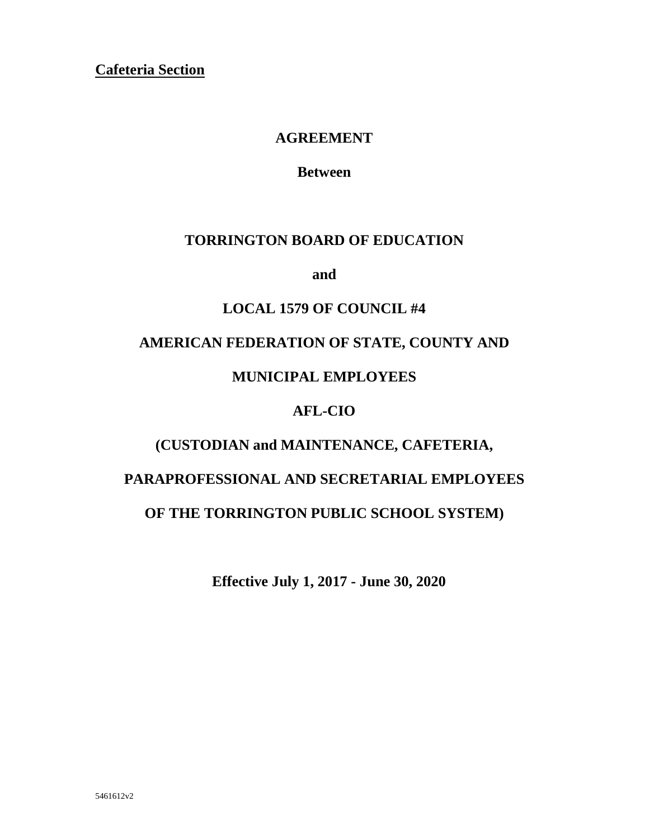**Cafeteria Section** 

## **AGREEMENT**

**Between**

## **TORRINGTON BOARD OF EDUCATION**

**and**

## **LOCAL 1579 OF COUNCIL #4**

## **AMERICAN FEDERATION OF STATE, COUNTY AND**

## **MUNICIPAL EMPLOYEES**

## **AFL-CIO**

## **(CUSTODIAN and MAINTENANCE, CAFETERIA,**

# **PARAPROFESSIONAL AND SECRETARIAL EMPLOYEES**

## **OF THE TORRINGTON PUBLIC SCHOOL SYSTEM)**

**Effective July 1, 2017 - June 30, 2020**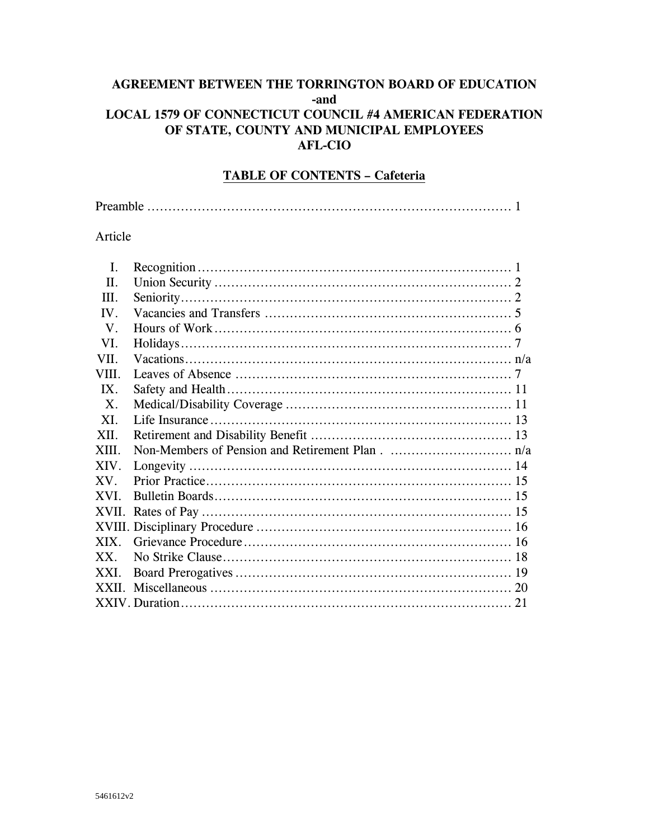## AGREEMENT BETWEEN THE TORRINGTON BOARD OF EDUCATION -and LOCAL 1579 OF CONNECTICUT COUNCIL #4 AMERICAN FEDERATION OF STATE, COUNTY AND MUNICIPAL EMPLOYEES **AFL-CIO**

## **TABLE OF CONTENTS - Cafeteria**

|--|

#### Article

| I.     |  |
|--------|--|
| Π.     |  |
| III.   |  |
| IV.    |  |
| V.     |  |
| VL.    |  |
| VII.   |  |
| VIII.  |  |
| IX.    |  |
| X.     |  |
| XI.    |  |
| XII.   |  |
| XIII.  |  |
| XIV.   |  |
| XV.    |  |
| XVI.   |  |
|        |  |
|        |  |
| XIX.   |  |
| $XX$ . |  |
| XXI.   |  |
|        |  |
|        |  |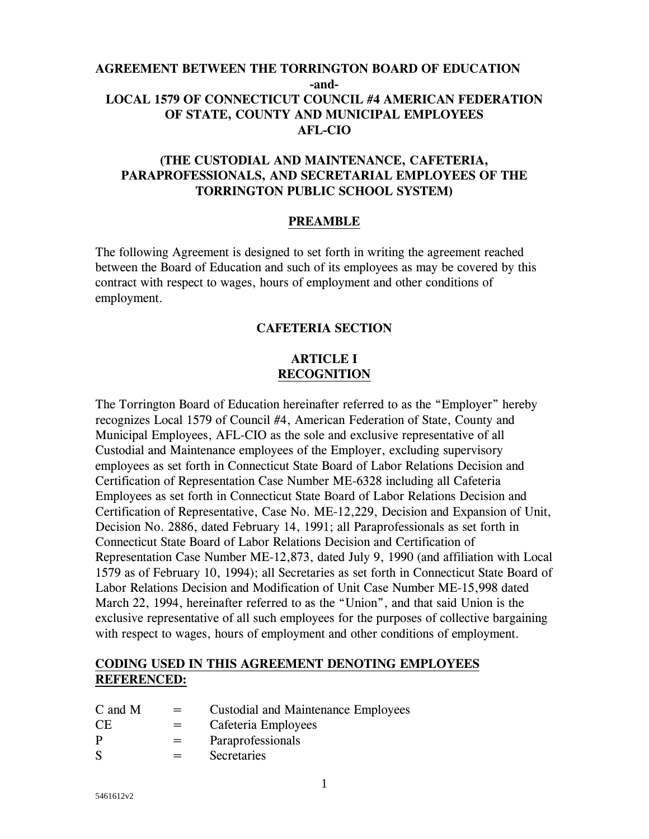## **AGREEMENT BETWEEN THE TORRINGTON BOARD OF EDUCATION -and-LOCAL 1579 OF CONNECTICUT COUNCIL #4 AMERICAN FEDERATION OF STATE, COUNTY AND MUNICIPAL EMPLOYEES AFL-CIO**

## **(THE CUSTODIAL AND MAINTENANCE, CAFETERIA, PARAPROFESSIONALS, AND SECRETARIAL EMPLOYEES OF THE TORRINGTON PUBLIC SCHOOL SYSTEM)**

#### **PREAMBLE**

The following Agreement is designed to set forth in writing the agreement reached between the Board of Education and such of its employees as may be covered by this contract with respect to wages, hours of employment and other conditions of employment.

### **CAFETERIA SECTION**

## **ARTICLE I RECOGNITION**

The Torrington Board of Education hereinafter referred to as the "Employer" hereby recognizes Local 1579 of Council #4, American Federation of State, County and Municipal Employees, AFL-CIO as the sole and exclusive representative of all Custodial and Maintenance employees of the Employer, excluding supervisory employees as set forth in Connecticut State Board of Labor Relations Decision and Certification of Representation Case Number ME-6328 including all Cafeteria Employees as set forth in Connecticut State Board of Labor Relations Decision and Certification of Representative, Case No. ME-12,229, Decision and Expansion of Unit, Decision No. 2886, dated February 14, 1991; all Paraprofessionals as set forth in Connecticut State Board of Labor Relations Decision and Certification of Representation Case Number ME-12,873, dated July 9, 1990 (and affiliation with Local 1579 as of February 10, 1994); all Secretaries as set forth in Connecticut State Board of Labor Relations Decision and Modification of Unit Case Number ME-15,998 dated March 22, 1994, hereinafter referred to as the "Union", and that said Union is the exclusive representative of all such employees for the purposes of collective bargaining with respect to wages, hours of employment and other conditions of employment.

#### **CODING USED IN THIS AGREEMENT DENOTING EMPLOYEES REFERENCED:**

| C and M | $=$ | <b>Custodial and Maintenance Employees</b> |
|---------|-----|--------------------------------------------|
| CЕ      | $=$ | Cafeteria Employees                        |
| P       | $=$ | Paraprofessionals                          |
| S       | $=$ | Secretaries                                |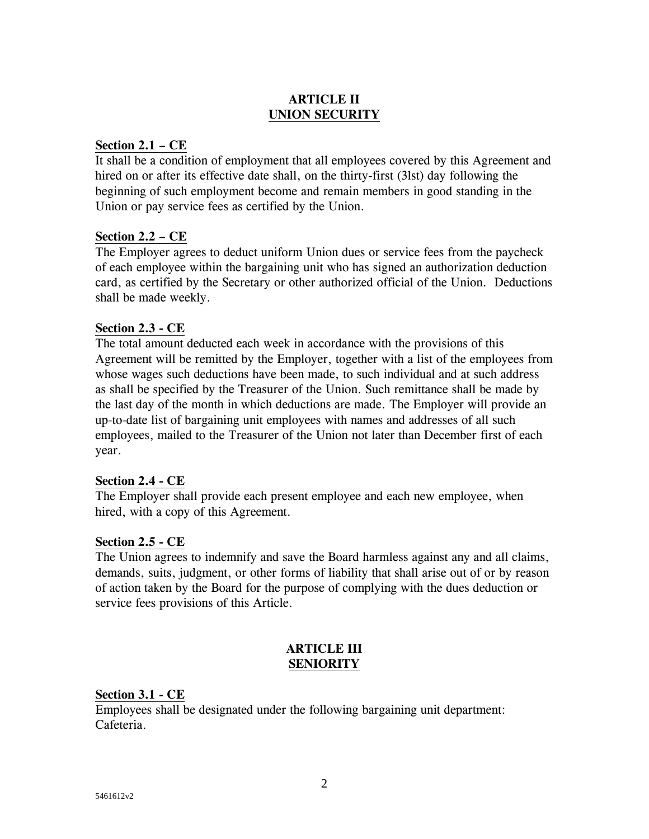## **ARTICLE II UNION SECURITY**

### **Section 2.1 – CE**

It shall be a condition of employment that all employees covered by this Agreement and hired on or after its effective date shall, on the thirty-first (3lst) day following the beginning of such employment become and remain members in good standing in the Union or pay service fees as certified by the Union.

#### **Section 2.2 – CE**

The Employer agrees to deduct uniform Union dues or service fees from the paycheck of each employee within the bargaining unit who has signed an authorization deduction card, as certified by the Secretary or other authorized official of the Union. Deductions shall be made weekly.

#### **Section 2.3 - CE**

The total amount deducted each week in accordance with the provisions of this Agreement will be remitted by the Employer, together with a list of the employees from whose wages such deductions have been made, to such individual and at such address as shall be specified by the Treasurer of the Union. Such remittance shall be made by the last day of the month in which deductions are made. The Employer will provide an up-to-date list of bargaining unit employees with names and addresses of all such employees, mailed to the Treasurer of the Union not later than December first of each year.

#### **Section 2.4 - CE**

The Employer shall provide each present employee and each new employee, when hired, with a copy of this Agreement.

## **Section 2.5 - CE**

The Union agrees to indemnify and save the Board harmless against any and all claims, demands, suits, judgment, or other forms of liability that shall arise out of or by reason of action taken by the Board for the purpose of complying with the dues deduction or service fees provisions of this Article.

## **ARTICLE III SENIORITY**

#### **Section 3.1 - CE**

Employees shall be designated under the following bargaining unit department: Cafeteria.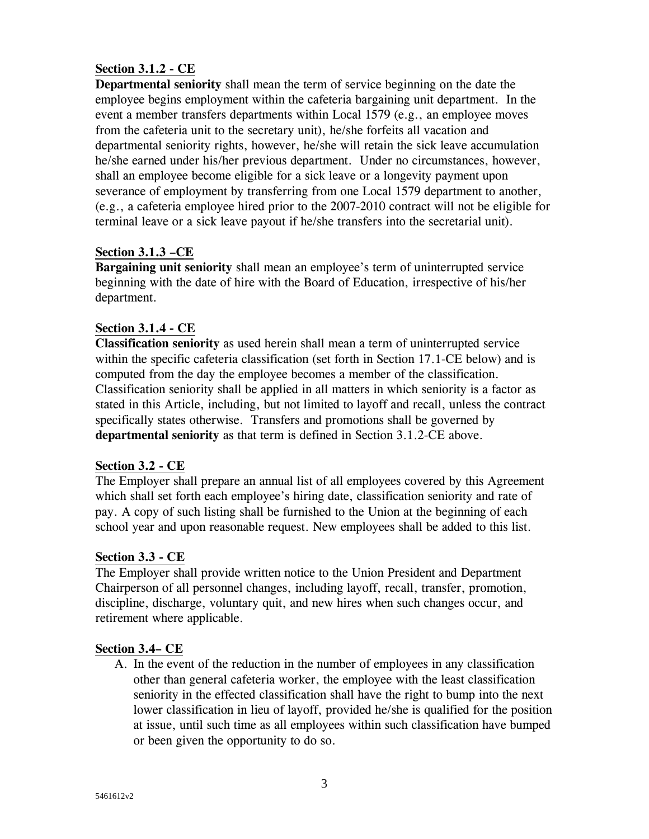## **Section 3.1.2 - CE**

**Departmental seniority** shall mean the term of service beginning on the date the employee begins employment within the cafeteria bargaining unit department. In the event a member transfers departments within Local 1579 (e.g., an employee moves from the cafeteria unit to the secretary unit), he/she forfeits all vacation and departmental seniority rights, however, he/she will retain the sick leave accumulation he/she earned under his/her previous department. Under no circumstances, however, shall an employee become eligible for a sick leave or a longevity payment upon severance of employment by transferring from one Local 1579 department to another, (e.g., a cafeteria employee hired prior to the 2007-2010 contract will not be eligible for terminal leave or a sick leave payout if he/she transfers into the secretarial unit).

## **Section 3.1.3 –CE**

**Bargaining unit seniority** shall mean an employee's term of uninterrupted service beginning with the date of hire with the Board of Education, irrespective of his/her department.

## **Section 3.1.4 - CE**

**Classification seniority** as used herein shall mean a term of uninterrupted service within the specific cafeteria classification (set forth in Section 17.1-CE below) and is computed from the day the employee becomes a member of the classification. Classification seniority shall be applied in all matters in which seniority is a factor as stated in this Article, including, but not limited to layoff and recall, unless the contract specifically states otherwise. Transfers and promotions shall be governed by **departmental seniority** as that term is defined in Section 3.1.2-CE above.

## **Section 3.2 - CE**

The Employer shall prepare an annual list of all employees covered by this Agreement which shall set forth each employee's hiring date, classification seniority and rate of pay. A copy of such listing shall be furnished to the Union at the beginning of each school year and upon reasonable request. New employees shall be added to this list.

## **Section 3.3 - CE**

The Employer shall provide written notice to the Union President and Department Chairperson of all personnel changes, including layoff, recall, transfer, promotion, discipline, discharge, voluntary quit, and new hires when such changes occur, and retirement where applicable.

## **Section 3.4– CE**

A. In the event of the reduction in the number of employees in any classification other than general cafeteria worker, the employee with the least classification seniority in the effected classification shall have the right to bump into the next lower classification in lieu of layoff, provided he/she is qualified for the position at issue, until such time as all employees within such classification have bumped or been given the opportunity to do so.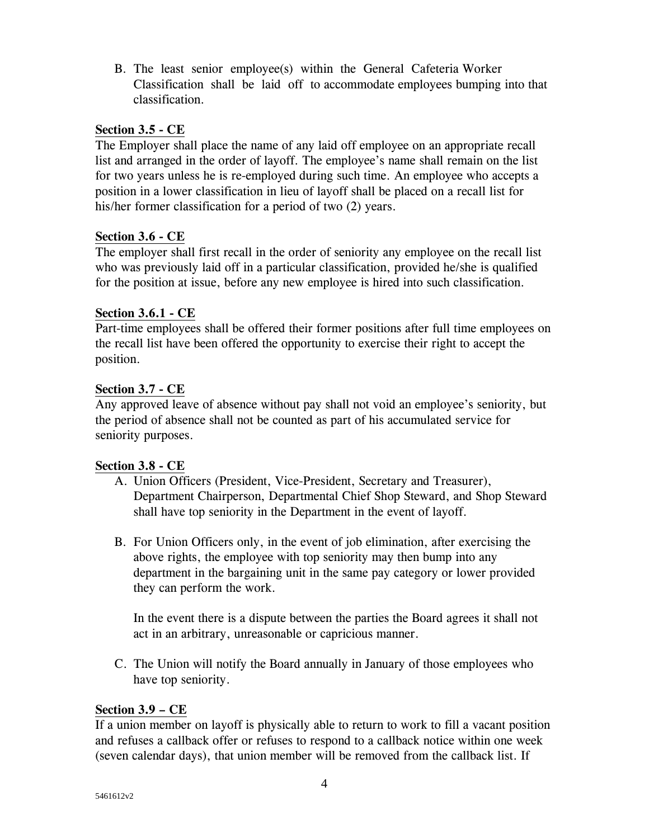B. The least senior employee(s) within the General Cafeteria Worker Classification shall be laid off to accommodate employees bumping into that classification.

### **Section 3.5 - CE**

The Employer shall place the name of any laid off employee on an appropriate recall list and arranged in the order of layoff. The employee's name shall remain on the list for two years unless he is re-employed during such time. An employee who accepts a position in a lower classification in lieu of layoff shall be placed on a recall list for his/her former classification for a period of two (2) years.

#### **Section 3.6 - CE**

The employer shall first recall in the order of seniority any employee on the recall list who was previously laid off in a particular classification, provided he/she is qualified for the position at issue, before any new employee is hired into such classification.

#### **Section 3.6.1 - CE**

Part-time employees shall be offered their former positions after full time employees on the recall list have been offered the opportunity to exercise their right to accept the position.

#### **Section 3.7 - CE**

Any approved leave of absence without pay shall not void an employee's seniority, but the period of absence shall not be counted as part of his accumulated service for seniority purposes.

#### **Section 3.8 - CE**

- A. Union Officers (President, Vice-President, Secretary and Treasurer), Department Chairperson, Departmental Chief Shop Steward, and Shop Steward shall have top seniority in the Department in the event of layoff.
- B. For Union Officers only, in the event of job elimination, after exercising the above rights, the employee with top seniority may then bump into any department in the bargaining unit in the same pay category or lower provided they can perform the work.

In the event there is a dispute between the parties the Board agrees it shall not act in an arbitrary, unreasonable or capricious manner.

C. The Union will notify the Board annually in January of those employees who have top seniority.

#### **Section 3.9 – CE**

If a union member on layoff is physically able to return to work to fill a vacant position and refuses a callback offer or refuses to respond to a callback notice within one week (seven calendar days), that union member will be removed from the callback list. If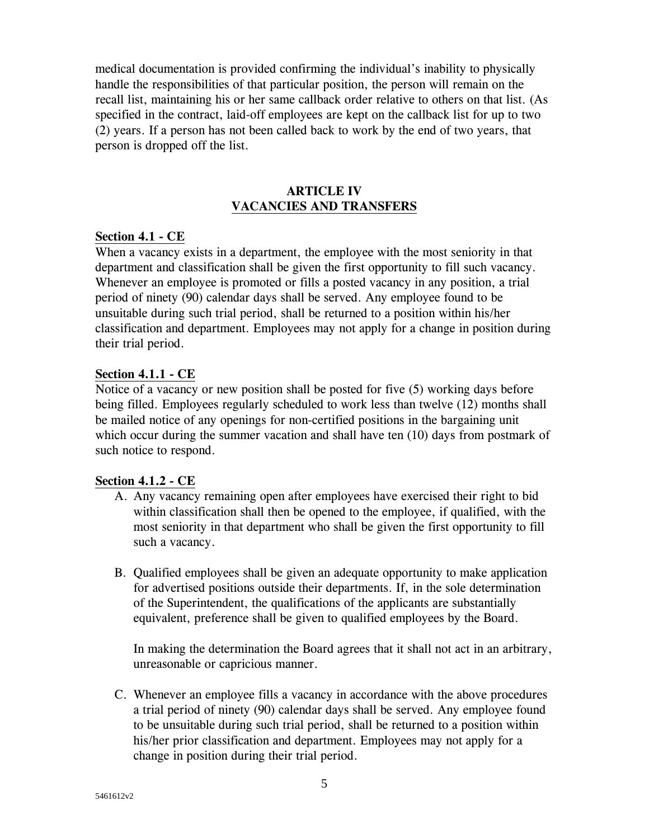medical documentation is provided confirming the individual's inability to physically handle the responsibilities of that particular position, the person will remain on the recall list, maintaining his or her same callback order relative to others on that list. (As specified in the contract, laid-off employees are kept on the callback list for up to two (2) years. If a person has not been called back to work by the end of two years, that person is dropped off the list.

#### **ARTICLE IV VACANCIES AND TRANSFERS**

#### **Section 4.1 - CE**

When a vacancy exists in a department, the employee with the most seniority in that department and classification shall be given the first opportunity to fill such vacancy. Whenever an employee is promoted or fills a posted vacancy in any position, a trial period of ninety (90) calendar days shall be served. Any employee found to be unsuitable during such trial period, shall be returned to a position within his/her classification and department. Employees may not apply for a change in position during their trial period.

#### **Section 4.1.1 - CE**

Notice of a vacancy or new position shall be posted for five (5) working days before being filled. Employees regularly scheduled to work less than twelve (12) months shall be mailed notice of any openings for non-certified positions in the bargaining unit which occur during the summer vacation and shall have ten (10) days from postmark of such notice to respond.

#### **Section 4.1.2 - CE**

- A. Any vacancy remaining open after employees have exercised their right to bid within classification shall then be opened to the employee, if qualified, with the most seniority in that department who shall be given the first opportunity to fill such a vacancy.
- B. Qualified employees shall be given an adequate opportunity to make application for advertised positions outside their departments. If, in the sole determination of the Superintendent, the qualifications of the applicants are substantially equivalent, preference shall be given to qualified employees by the Board.

In making the determination the Board agrees that it shall not act in an arbitrary, unreasonable or capricious manner.

C. Whenever an employee fills a vacancy in accordance with the above procedures a trial period of ninety (90) calendar days shall be served. Any employee found to be unsuitable during such trial period, shall be returned to a position within his/her prior classification and department. Employees may not apply for a change in position during their trial period.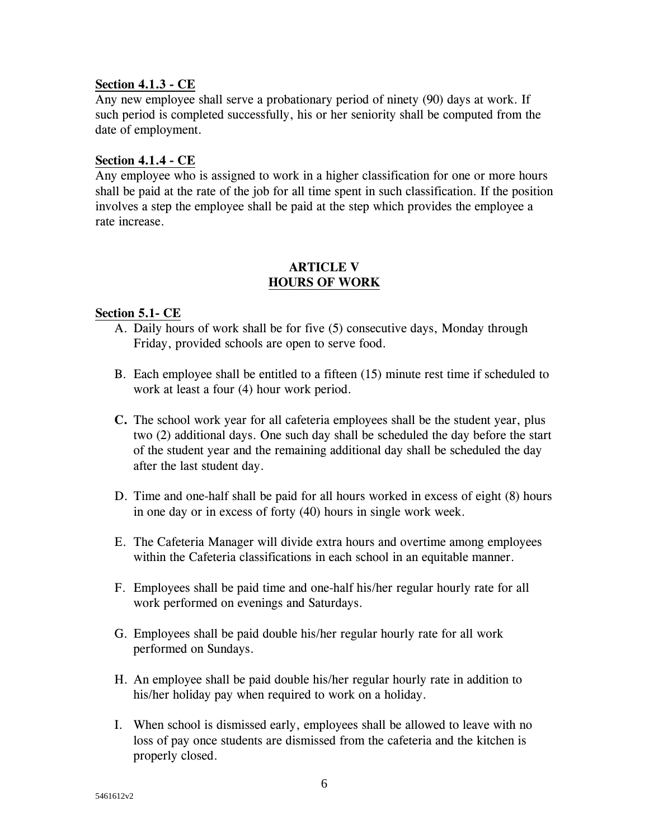#### **Section 4.1.3 - CE**

Any new employee shall serve a probationary period of ninety (90) days at work. If such period is completed successfully, his or her seniority shall be computed from the date of employment.

#### **Section 4.1.4 - CE**

Any employee who is assigned to work in a higher classification for one or more hours shall be paid at the rate of the job for all time spent in such classification. If the position involves a step the employee shall be paid at the step which provides the employee a rate increase.

#### **ARTICLE V HOURS OF WORK**

#### **Section 5.1- CE**

- A. Daily hours of work shall be for five (5) consecutive days, Monday through Friday, provided schools are open to serve food.
- B. Each employee shall be entitled to a fifteen (15) minute rest time if scheduled to work at least a four (4) hour work period.
- **C.** The school work year for all cafeteria employees shall be the student year, plus two (2) additional days. One such day shall be scheduled the day before the start of the student year and the remaining additional day shall be scheduled the day after the last student day.
- D. Time and one-half shall be paid for all hours worked in excess of eight (8) hours in one day or in excess of forty (40) hours in single work week.
- E. The Cafeteria Manager will divide extra hours and overtime among employees within the Cafeteria classifications in each school in an equitable manner.
- F. Employees shall be paid time and one-half his/her regular hourly rate for all work performed on evenings and Saturdays.
- G. Employees shall be paid double his/her regular hourly rate for all work performed on Sundays.
- H. An employee shall be paid double his/her regular hourly rate in addition to his/her holiday pay when required to work on a holiday.
- I. When school is dismissed early, employees shall be allowed to leave with no loss of pay once students are dismissed from the cafeteria and the kitchen is properly closed.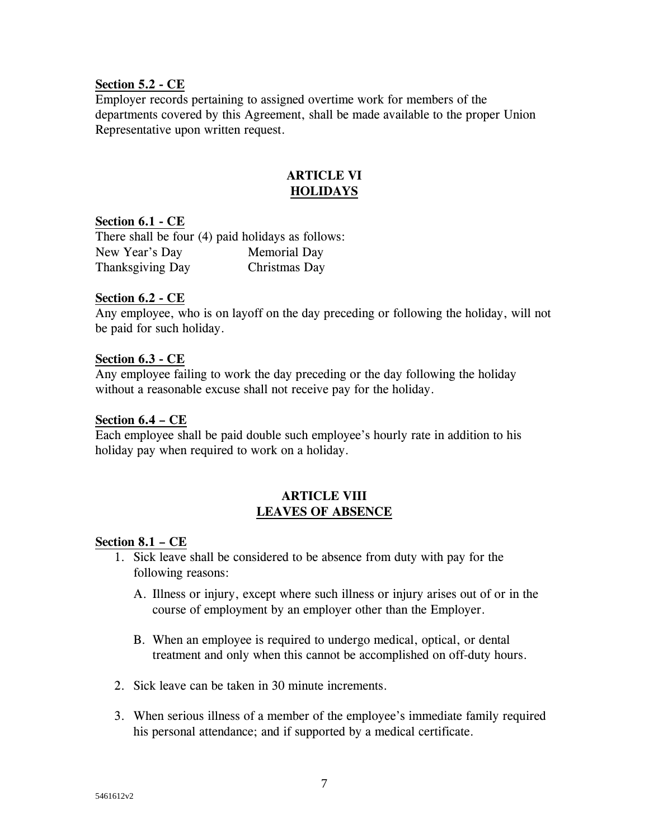#### **Section 5.2 - CE**

Employer records pertaining to assigned overtime work for members of the departments covered by this Agreement, shall be made available to the proper Union Representative upon written request.

## **ARTICLE VI HOLIDAYS**

#### **Section 6.1 - CE**

There shall be four (4) paid holidays as follows: New Year's Day Memorial Day Thanksgiving Day Christmas Day

#### **Section 6.2 - CE**

Any employee, who is on layoff on the day preceding or following the holiday, will not be paid for such holiday.

#### **Section 6.3 - CE**

Any employee failing to work the day preceding or the day following the holiday without a reasonable excuse shall not receive pay for the holiday.

#### **Section 6.4 – CE**

Each employee shall be paid double such employee's hourly rate in addition to his holiday pay when required to work on a holiday.

### **ARTICLE VIII LEAVES OF ABSENCE**

#### **Section 8.1 – CE**

- 1. Sick leave shall be considered to be absence from duty with pay for the following reasons:
	- A. Illness or injury, except where such illness or injury arises out of or in the course of employment by an employer other than the Employer.
	- B. When an employee is required to undergo medical, optical, or dental treatment and only when this cannot be accomplished on off-duty hours.
- 2. Sick leave can be taken in 30 minute increments.
- 3. When serious illness of a member of the employee's immediate family required his personal attendance; and if supported by a medical certificate.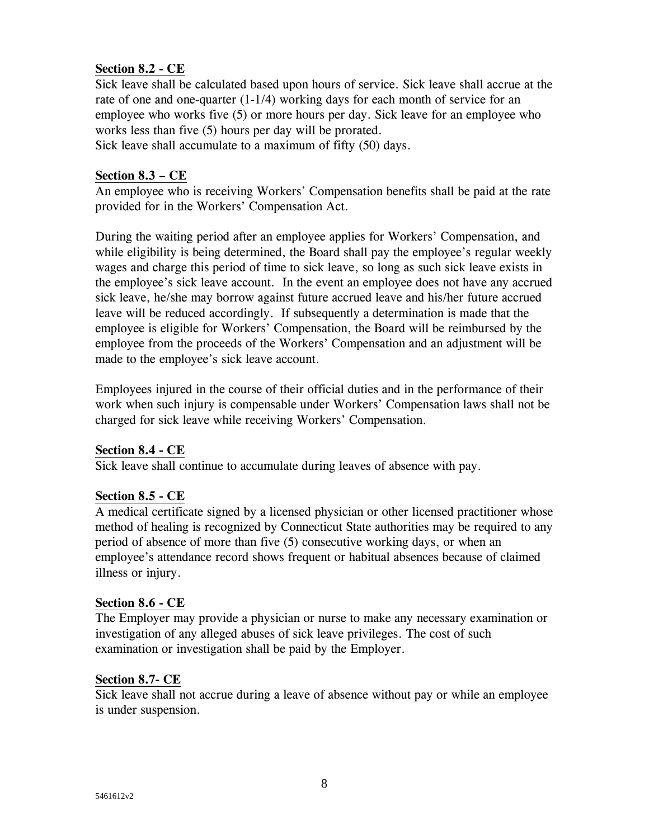## **Section 8.2 - CE**

Sick leave shall be calculated based upon hours of service. Sick leave shall accrue at the rate of one and one-quarter (1-1/4) working days for each month of service for an employee who works five (5) or more hours per day. Sick leave for an employee who works less than five (5) hours per day will be prorated.

Sick leave shall accumulate to a maximum of fifty (50) days.

### **Section 8.3 – CE**

An employee who is receiving Workers' Compensation benefits shall be paid at the rate provided for in the Workers' Compensation Act.

During the waiting period after an employee applies for Workers' Compensation, and while eligibility is being determined, the Board shall pay the employee's regular weekly wages and charge this period of time to sick leave, so long as such sick leave exists in the employee's sick leave account. In the event an employee does not have any accrued sick leave, he/she may borrow against future accrued leave and his/her future accrued leave will be reduced accordingly. If subsequently a determination is made that the employee is eligible for Workers' Compensation, the Board will be reimbursed by the employee from the proceeds of the Workers' Compensation and an adjustment will be made to the employee's sick leave account.

Employees injured in the course of their official duties and in the performance of their work when such injury is compensable under Workers' Compensation laws shall not be charged for sick leave while receiving Workers' Compensation.

## **Section 8.4 - CE**

Sick leave shall continue to accumulate during leaves of absence with pay.

## **Section 8.5 - CE**

A medical certificate signed by a licensed physician or other licensed practitioner whose method of healing is recognized by Connecticut State authorities may be required to any period of absence of more than five (5) consecutive working days, or when an employee's attendance record shows frequent or habitual absences because of claimed illness or injury.

#### **Section 8.6 - CE**

The Employer may provide a physician or nurse to make any necessary examination or investigation of any alleged abuses of sick leave privileges. The cost of such examination or investigation shall be paid by the Employer.

## **Section 8.7- CE**

Sick leave shall not accrue during a leave of absence without pay or while an employee is under suspension.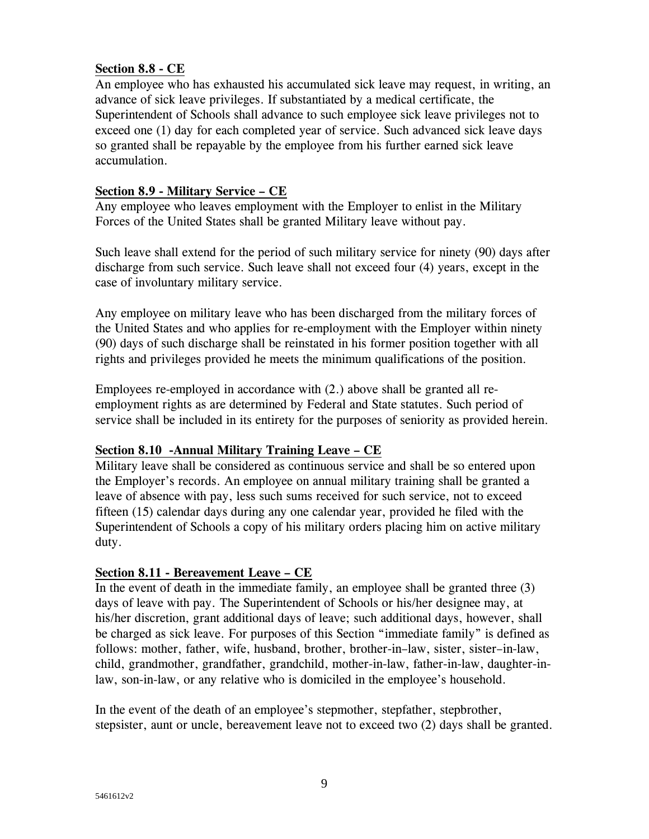## **Section 8.8 - CE**

An employee who has exhausted his accumulated sick leave may request, in writing, an advance of sick leave privileges. If substantiated by a medical certificate, the Superintendent of Schools shall advance to such employee sick leave privileges not to exceed one (1) day for each completed year of service. Such advanced sick leave days so granted shall be repayable by the employee from his further earned sick leave accumulation.

## **Section 8.9 - Military Service – CE**

Any employee who leaves employment with the Employer to enlist in the Military Forces of the United States shall be granted Military leave without pay.

Such leave shall extend for the period of such military service for ninety (90) days after discharge from such service. Such leave shall not exceed four (4) years, except in the case of involuntary military service.

Any employee on military leave who has been discharged from the military forces of the United States and who applies for re-employment with the Employer within ninety (90) days of such discharge shall be reinstated in his former position together with all rights and privileges provided he meets the minimum qualifications of the position.

Employees re-employed in accordance with (2.) above shall be granted all reemployment rights as are determined by Federal and State statutes. Such period of service shall be included in its entirety for the purposes of seniority as provided herein.

## **Section 8.10 -Annual Military Training Leave – CE**

Military leave shall be considered as continuous service and shall be so entered upon the Employer's records. An employee on annual military training shall be granted a leave of absence with pay, less such sums received for such service, not to exceed fifteen (15) calendar days during any one calendar year, provided he filed with the Superintendent of Schools a copy of his military orders placing him on active military duty.

## **Section 8.11 - Bereavement Leave – CE**

In the event of death in the immediate family, an employee shall be granted three (3) days of leave with pay. The Superintendent of Schools or his/her designee may, at his/her discretion, grant additional days of leave; such additional days, however, shall be charged as sick leave. For purposes of this Section "immediate family" is defined as follows: mother, father, wife, husband, brother, brother-in–law, sister, sister–in-law, child, grandmother, grandfather, grandchild, mother-in-law, father-in-law, daughter-inlaw, son-in-law, or any relative who is domiciled in the employee's household.

In the event of the death of an employee's stepmother, stepfather, stepbrother, stepsister, aunt or uncle, bereavement leave not to exceed two (2) days shall be granted.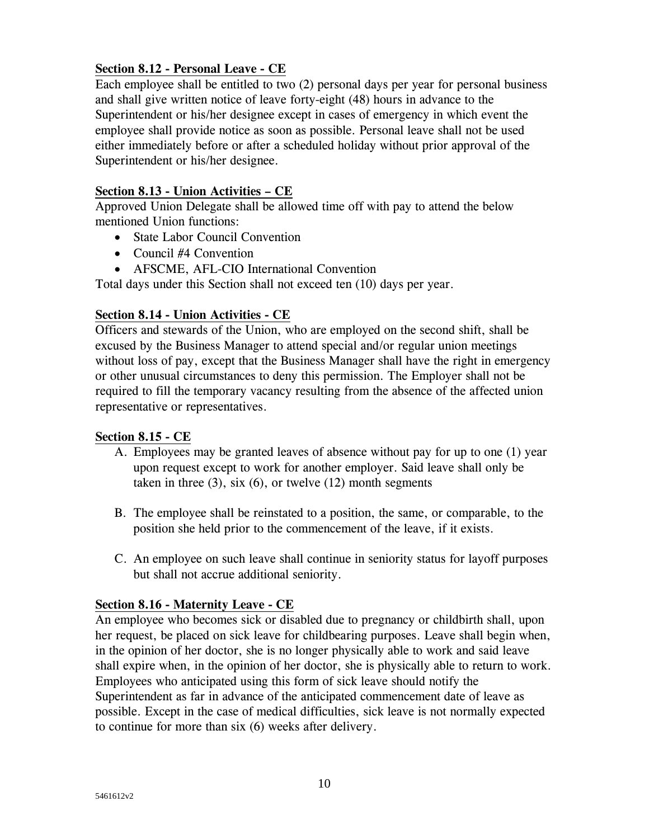## **Section 8.12 - Personal Leave - CE**

Each employee shall be entitled to two (2) personal days per year for personal business and shall give written notice of leave forty-eight (48) hours in advance to the Superintendent or his/her designee except in cases of emergency in which event the employee shall provide notice as soon as possible. Personal leave shall not be used either immediately before or after a scheduled holiday without prior approval of the Superintendent or his/her designee.

## **Section 8.13 - Union Activities – CE**

Approved Union Delegate shall be allowed time off with pay to attend the below mentioned Union functions:

- State Labor Council Convention
- Council #4 Convention
- AFSCME, AFL-CIO International Convention

Total days under this Section shall not exceed ten (10) days per year.

## **Section 8.14 - Union Activities - CE**

Officers and stewards of the Union, who are employed on the second shift, shall be excused by the Business Manager to attend special and/or regular union meetings without loss of pay, except that the Business Manager shall have the right in emergency or other unusual circumstances to deny this permission. The Employer shall not be required to fill the temporary vacancy resulting from the absence of the affected union representative or representatives.

## **Section 8.15 - CE**

- A. Employees may be granted leaves of absence without pay for up to one (1) year upon request except to work for another employer. Said leave shall only be taken in three  $(3)$ , six  $(6)$ , or twelve  $(12)$  month segments
- B. The employee shall be reinstated to a position, the same, or comparable, to the position she held prior to the commencement of the leave, if it exists.
- C. An employee on such leave shall continue in seniority status for layoff purposes but shall not accrue additional seniority.

## **Section 8.16 - Maternity Leave - CE**

An employee who becomes sick or disabled due to pregnancy or childbirth shall, upon her request, be placed on sick leave for childbearing purposes. Leave shall begin when, in the opinion of her doctor, she is no longer physically able to work and said leave shall expire when, in the opinion of her doctor, she is physically able to return to work. Employees who anticipated using this form of sick leave should notify the Superintendent as far in advance of the anticipated commencement date of leave as possible. Except in the case of medical difficulties, sick leave is not normally expected to continue for more than six (6) weeks after delivery.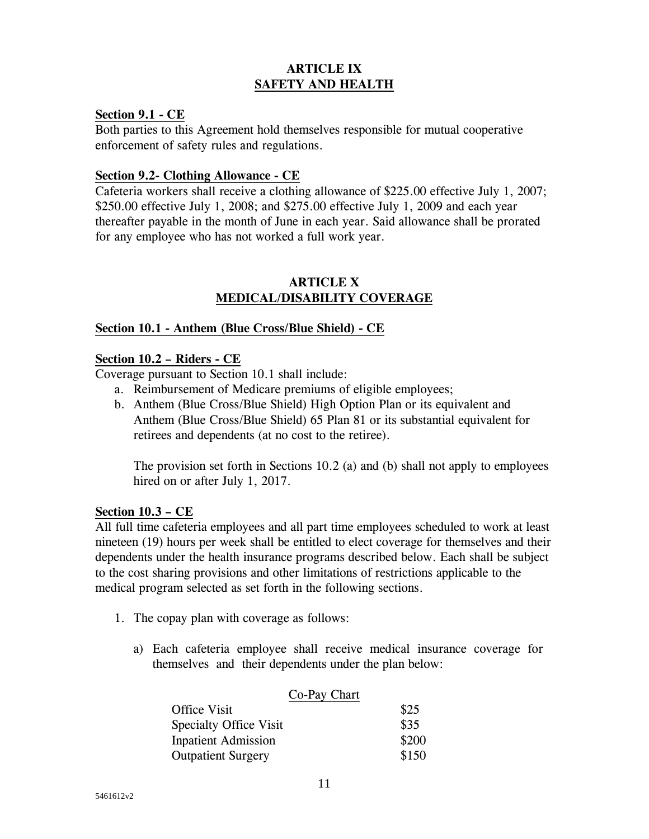## **ARTICLE IX SAFETY AND HEALTH**

#### **Section 9.1 - CE**

Both parties to this Agreement hold themselves responsible for mutual cooperative enforcement of safety rules and regulations.

#### **Section 9.2- Clothing Allowance - CE**

Cafeteria workers shall receive a clothing allowance of \$225.00 effective July 1, 2007; \$250.00 effective July 1, 2008; and \$275.00 effective July 1, 2009 and each year thereafter payable in the month of June in each year. Said allowance shall be prorated for any employee who has not worked a full work year.

#### **ARTICLE X MEDICAL/DISABILITY COVERAGE**

#### **Section 10.1 - Anthem (Blue Cross/Blue Shield) - CE**

#### **Section 10.2 – Riders - CE**

Coverage pursuant to Section 10.1 shall include:

- a. Reimbursement of Medicare premiums of eligible employees;
- b. Anthem (Blue Cross/Blue Shield) High Option Plan or its equivalent and Anthem (Blue Cross/Blue Shield) 65 Plan 81 or its substantial equivalent for retirees and dependents (at no cost to the retiree).

The provision set forth in Sections 10.2 (a) and (b) shall not apply to employees hired on or after July 1, 2017.

#### **Section 10.3 – CE**

All full time cafeteria employees and all part time employees scheduled to work at least nineteen (19) hours per week shall be entitled to elect coverage for themselves and their dependents under the health insurance programs described below. Each shall be subject to the cost sharing provisions and other limitations of restrictions applicable to the medical program selected as set forth in the following sections.

- 1. The copay plan with coverage as follows:
	- a) Each cafeteria employee shall receive medical insurance coverage for themselves and their dependents under the plan below:

| Co-Pay Chart                  |       |
|-------------------------------|-------|
| Office Visit                  | \$25  |
| <b>Specialty Office Visit</b> | \$35  |
| <b>Inpatient Admission</b>    | \$200 |
| <b>Outpatient Surgery</b>     | \$150 |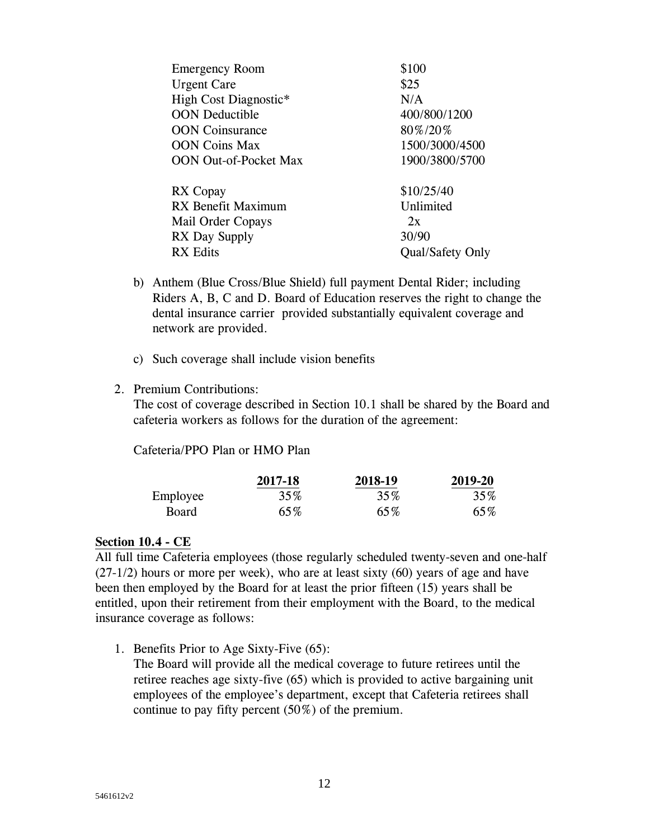| \$25                    |
|-------------------------|
| N/A                     |
| 400/800/1200            |
| 80%/20%                 |
| 1500/3000/4500          |
| 1900/3800/5700          |
| \$10/25/40              |
| Unlimited               |
| 2x                      |
| 30/90                   |
| <b>Qual/Safety Only</b> |
|                         |

- b) Anthem (Blue Cross/Blue Shield) full payment Dental Rider; including Riders A, B, C and D. Board of Education reserves the right to change the dental insurance carrier provided substantially equivalent coverage and network are provided.
- c) Such coverage shall include vision benefits

#### 2. Premium Contributions:

The cost of coverage described in Section 10.1 shall be shared by the Board and cafeteria workers as follows for the duration of the agreement:

#### Cafeteria/PPO Plan or HMO Plan

|          | 2017-18 | 2018-19 | 2019-20 |
|----------|---------|---------|---------|
| Employee | 35%     | 35%     | 35%     |
| Board    | 65%     | 65%     | 65%     |

#### **Section 10.4 - CE**

All full time Cafeteria employees (those regularly scheduled twenty-seven and one-half (27-1/2) hours or more per week), who are at least sixty (60) years of age and have been then employed by the Board for at least the prior fifteen (15) years shall be entitled, upon their retirement from their employment with the Board, to the medical insurance coverage as follows:

1. Benefits Prior to Age Sixty-Five (65):

The Board will provide all the medical coverage to future retirees until the retiree reaches age sixty-five (65) which is provided to active bargaining unit employees of the employee's department, except that Cafeteria retirees shall continue to pay fifty percent (50%) of the premium.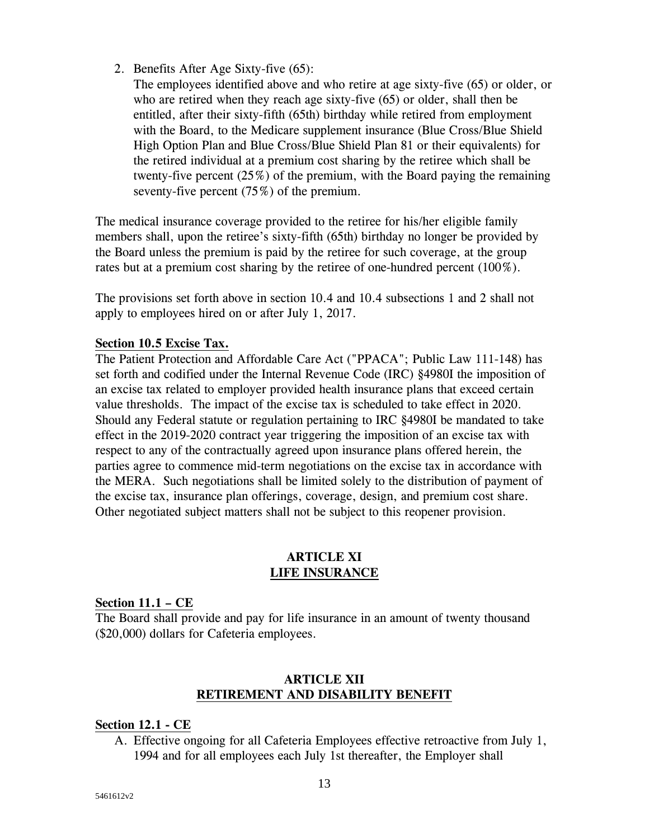- 2. Benefits After Age Sixty-five (65):
	- The employees identified above and who retire at age sixty-five (65) or older, or who are retired when they reach age sixty-five (65) or older, shall then be entitled, after their sixty-fifth (65th) birthday while retired from employment with the Board, to the Medicare supplement insurance (Blue Cross/Blue Shield High Option Plan and Blue Cross/Blue Shield Plan 81 or their equivalents) for the retired individual at a premium cost sharing by the retiree which shall be twenty-five percent (25%) of the premium, with the Board paying the remaining seventy-five percent (75%) of the premium.

The medical insurance coverage provided to the retiree for his/her eligible family members shall, upon the retiree's sixty-fifth (65th) birthday no longer be provided by the Board unless the premium is paid by the retiree for such coverage, at the group rates but at a premium cost sharing by the retiree of one-hundred percent (100%).

The provisions set forth above in section 10.4 and 10.4 subsections 1 and 2 shall not apply to employees hired on or after July 1, 2017.

#### **Section 10.5 Excise Tax.**

The Patient Protection and Affordable Care Act ("PPACA"; Public Law 111-148) has set forth and codified under the Internal Revenue Code (IRC) §4980I the imposition of an excise tax related to employer provided health insurance plans that exceed certain value thresholds. The impact of the excise tax is scheduled to take effect in 2020. Should any Federal statute or regulation pertaining to IRC §4980I be mandated to take effect in the 2019-2020 contract year triggering the imposition of an excise tax with respect to any of the contractually agreed upon insurance plans offered herein, the parties agree to commence mid-term negotiations on the excise tax in accordance with the MERA. Such negotiations shall be limited solely to the distribution of payment of the excise tax, insurance plan offerings, coverage, design, and premium cost share. Other negotiated subject matters shall not be subject to this reopener provision.

#### **ARTICLE XI LIFE INSURANCE**

#### **Section 11.1 – CE**

The Board shall provide and pay for life insurance in an amount of twenty thousand (\$20,000) dollars for Cafeteria employees.

## **ARTICLE XII RETIREMENT AND DISABILITY BENEFIT**

## **Section 12.1 - CE**

A. Effective ongoing for all Cafeteria Employees effective retroactive from July 1, 1994 and for all employees each July 1st thereafter, the Employer shall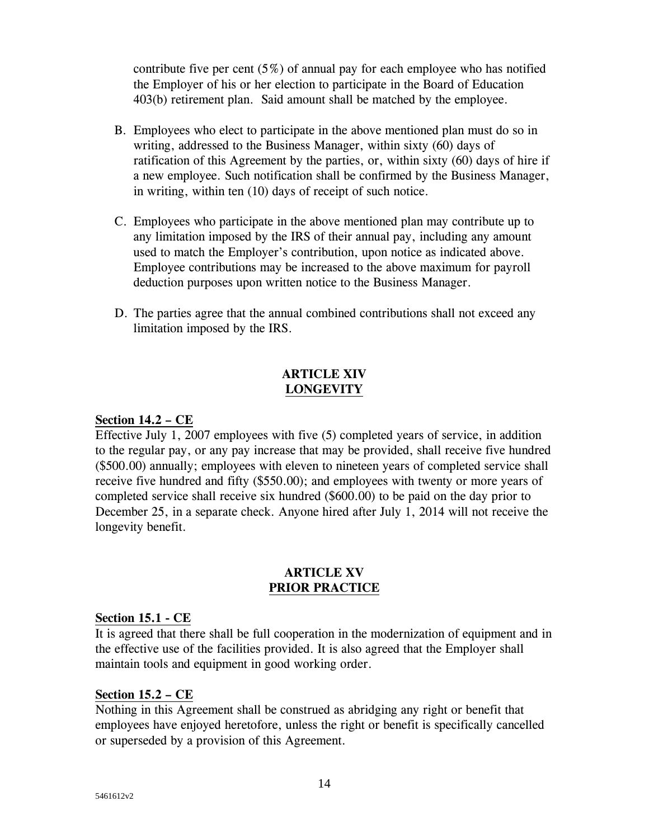contribute five per cent  $(5\%)$  of annual pay for each employee who has notified the Employer of his or her election to participate in the Board of Education 403(b) retirement plan. Said amount shall be matched by the employee.

- B. Employees who elect to participate in the above mentioned plan must do so in writing, addressed to the Business Manager, within sixty (60) days of ratification of this Agreement by the parties, or, within sixty (60) days of hire if a new employee. Such notification shall be confirmed by the Business Manager, in writing, within ten (10) days of receipt of such notice.
- C. Employees who participate in the above mentioned plan may contribute up to any limitation imposed by the IRS of their annual pay, including any amount used to match the Employer's contribution, upon notice as indicated above. Employee contributions may be increased to the above maximum for payroll deduction purposes upon written notice to the Business Manager.
- D. The parties agree that the annual combined contributions shall not exceed any limitation imposed by the IRS.

## **ARTICLE XIV LONGEVITY**

## **Section 14.2 – CE**

Effective July 1, 2007 employees with five (5) completed years of service, in addition to the regular pay, or any pay increase that may be provided, shall receive five hundred (\$500.00) annually; employees with eleven to nineteen years of completed service shall receive five hundred and fifty (\$550.00); and employees with twenty or more years of completed service shall receive six hundred (\$600.00) to be paid on the day prior to December 25, in a separate check. Anyone hired after July 1, 2014 will not receive the longevity benefit.

#### **ARTICLE XV PRIOR PRACTICE**

#### **Section 15.1 - CE**

It is agreed that there shall be full cooperation in the modernization of equipment and in the effective use of the facilities provided. It is also agreed that the Employer shall maintain tools and equipment in good working order.

#### **Section 15.2 – CE**

Nothing in this Agreement shall be construed as abridging any right or benefit that employees have enjoyed heretofore, unless the right or benefit is specifically cancelled or superseded by a provision of this Agreement.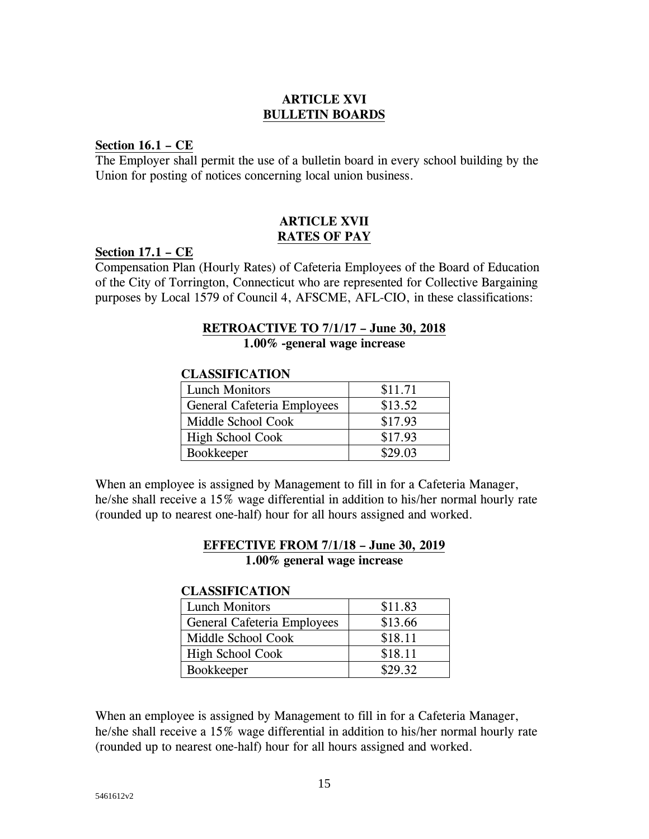## **ARTICLE XVI BULLETIN BOARDS**

#### **Section 16.1 – CE**

The Employer shall permit the use of a bulletin board in every school building by the Union for posting of notices concerning local union business.

#### **ARTICLE XVII RATES OF PAY**

#### **Section 17.1 – CE**

Compensation Plan (Hourly Rates) of Cafeteria Employees of the Board of Education of the City of Torrington, Connecticut who are represented for Collective Bargaining purposes by Local 1579 of Council 4, AFSCME, AFL-CIO, in these classifications:

#### **RETROACTIVE TO 7/1/17 – June 30, 2018 1.00% -general wage increase**

#### **CLASSIFICATION**

| <b>Lunch Monitors</b>       | \$11.71 |
|-----------------------------|---------|
| General Cafeteria Employees | \$13.52 |
| Middle School Cook          | \$17.93 |
| <b>High School Cook</b>     | \$17.93 |
| Bookkeeper                  | \$29.03 |

When an employee is assigned by Management to fill in for a Cafeteria Manager, he/she shall receive a 15% wage differential in addition to his/her normal hourly rate (rounded up to nearest one-half) hour for all hours assigned and worked.

## **EFFECTIVE FROM 7/1/18 – June 30, 2019 1.00% general wage increase**

#### **CLASSIFICATION**

| <b>Lunch Monitors</b>       | \$11.83 |
|-----------------------------|---------|
| General Cafeteria Employees | \$13.66 |
| Middle School Cook          | \$18.11 |
| <b>High School Cook</b>     | \$18.11 |
| <b>Bookkeeper</b>           | \$29.32 |

When an employee is assigned by Management to fill in for a Cafeteria Manager, he/she shall receive a 15% wage differential in addition to his/her normal hourly rate (rounded up to nearest one-half) hour for all hours assigned and worked.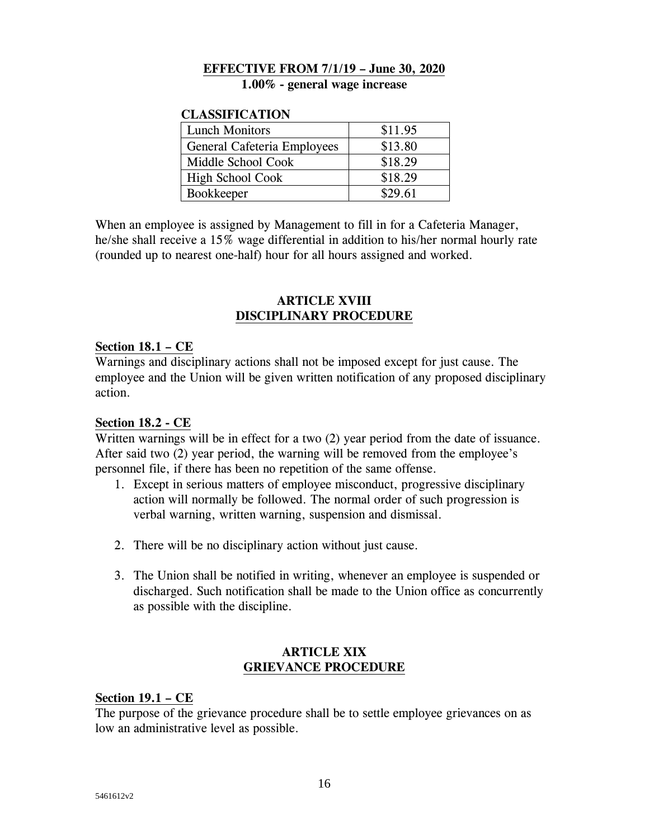## **EFFECTIVE FROM 7/1/19 – June 30, 2020**

**1.00% - general wage increase**

#### **CLASSIFICATION**

| <b>Lunch Monitors</b>       | \$11.95 |
|-----------------------------|---------|
| General Cafeteria Employees | \$13.80 |
| Middle School Cook          | \$18.29 |
| <b>High School Cook</b>     | \$18.29 |
| <b>Bookkeeper</b>           | \$29.61 |

When an employee is assigned by Management to fill in for a Cafeteria Manager, he/she shall receive a 15% wage differential in addition to his/her normal hourly rate (rounded up to nearest one-half) hour for all hours assigned and worked.

#### **ARTICLE XVIII DISCIPLINARY PROCEDURE**

#### **Section 18.1 – CE**

Warnings and disciplinary actions shall not be imposed except for just cause. The employee and the Union will be given written notification of any proposed disciplinary action.

#### **Section 18.2 - CE**

Written warnings will be in effect for a two (2) year period from the date of issuance. After said two (2) year period, the warning will be removed from the employee's personnel file, if there has been no repetition of the same offense.

- 1. Except in serious matters of employee misconduct, progressive disciplinary action will normally be followed. The normal order of such progression is verbal warning, written warning, suspension and dismissal.
- 2. There will be no disciplinary action without just cause.
- 3. The Union shall be notified in writing, whenever an employee is suspended or discharged. Such notification shall be made to the Union office as concurrently as possible with the discipline.

#### **ARTICLE XIX GRIEVANCE PROCEDURE**

#### **Section 19.1 – CE**

The purpose of the grievance procedure shall be to settle employee grievances on as low an administrative level as possible.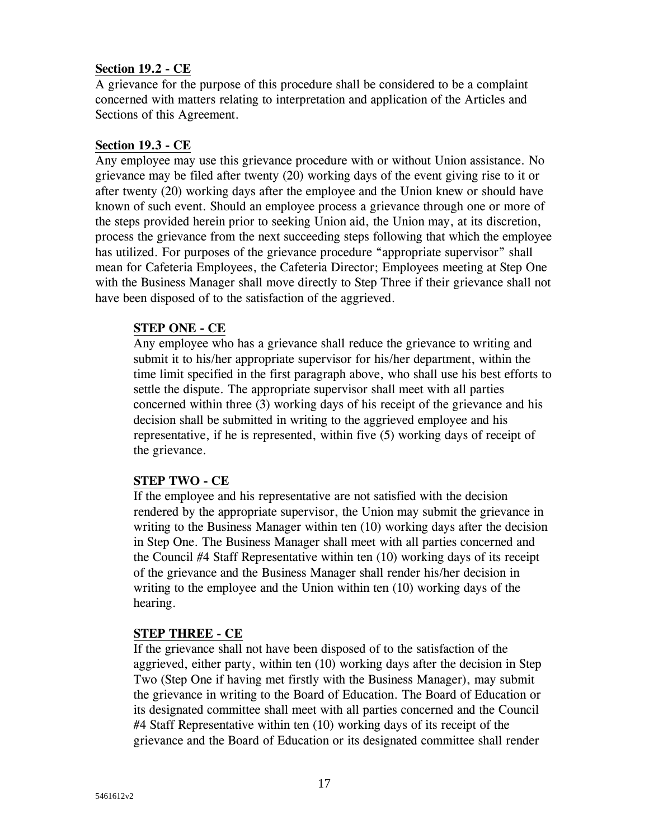### **Section 19.2 - CE**

A grievance for the purpose of this procedure shall be considered to be a complaint concerned with matters relating to interpretation and application of the Articles and Sections of this Agreement.

#### **Section 19.3 - CE**

Any employee may use this grievance procedure with or without Union assistance. No grievance may be filed after twenty (20) working days of the event giving rise to it or after twenty (20) working days after the employee and the Union knew or should have known of such event. Should an employee process a grievance through one or more of the steps provided herein prior to seeking Union aid, the Union may, at its discretion, process the grievance from the next succeeding steps following that which the employee has utilized. For purposes of the grievance procedure "appropriate supervisor" shall mean for Cafeteria Employees, the Cafeteria Director; Employees meeting at Step One with the Business Manager shall move directly to Step Three if their grievance shall not have been disposed of to the satisfaction of the aggrieved.

#### **STEP ONE - CE**

Any employee who has a grievance shall reduce the grievance to writing and submit it to his/her appropriate supervisor for his/her department, within the time limit specified in the first paragraph above, who shall use his best efforts to settle the dispute. The appropriate supervisor shall meet with all parties concerned within three (3) working days of his receipt of the grievance and his decision shall be submitted in writing to the aggrieved employee and his representative, if he is represented, within five (5) working days of receipt of the grievance.

#### **STEP TWO - CE**

If the employee and his representative are not satisfied with the decision rendered by the appropriate supervisor, the Union may submit the grievance in writing to the Business Manager within ten (10) working days after the decision in Step One. The Business Manager shall meet with all parties concerned and the Council #4 Staff Representative within ten (10) working days of its receipt of the grievance and the Business Manager shall render his/her decision in writing to the employee and the Union within ten (10) working days of the hearing.

## **STEP THREE - CE**

If the grievance shall not have been disposed of to the satisfaction of the aggrieved, either party, within ten (10) working days after the decision in Step Two (Step One if having met firstly with the Business Manager), may submit the grievance in writing to the Board of Education. The Board of Education or its designated committee shall meet with all parties concerned and the Council #4 Staff Representative within ten (10) working days of its receipt of the grievance and the Board of Education or its designated committee shall render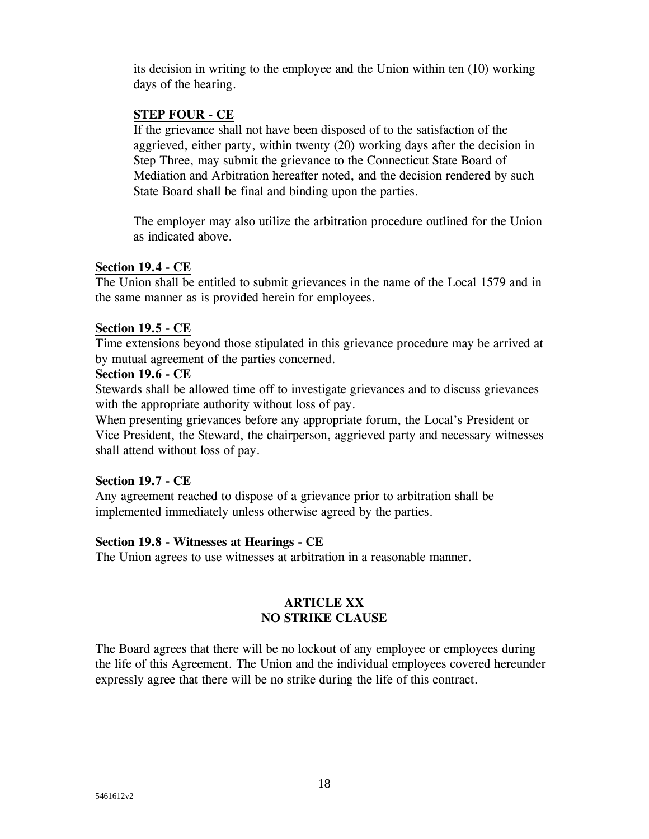its decision in writing to the employee and the Union within ten (10) working days of the hearing.

## **STEP FOUR - CE**

If the grievance shall not have been disposed of to the satisfaction of the aggrieved, either party, within twenty (20) working days after the decision in Step Three, may submit the grievance to the Connecticut State Board of Mediation and Arbitration hereafter noted, and the decision rendered by such State Board shall be final and binding upon the parties.

The employer may also utilize the arbitration procedure outlined for the Union as indicated above.

#### **Section 19.4 - CE**

The Union shall be entitled to submit grievances in the name of the Local 1579 and in the same manner as is provided herein for employees.

## **Section 19.5 - CE**

Time extensions beyond those stipulated in this grievance procedure may be arrived at by mutual agreement of the parties concerned.

#### **Section 19.6 - CE**

Stewards shall be allowed time off to investigate grievances and to discuss grievances with the appropriate authority without loss of pay.

When presenting grievances before any appropriate forum, the Local's President or Vice President, the Steward, the chairperson, aggrieved party and necessary witnesses shall attend without loss of pay.

## **Section 19.7 - CE**

Any agreement reached to dispose of a grievance prior to arbitration shall be implemented immediately unless otherwise agreed by the parties.

## **Section 19.8 - Witnesses at Hearings - CE**

The Union agrees to use witnesses at arbitration in a reasonable manner.

## **ARTICLE XX NO STRIKE CLAUSE**

The Board agrees that there will be no lockout of any employee or employees during the life of this Agreement. The Union and the individual employees covered hereunder expressly agree that there will be no strike during the life of this contract.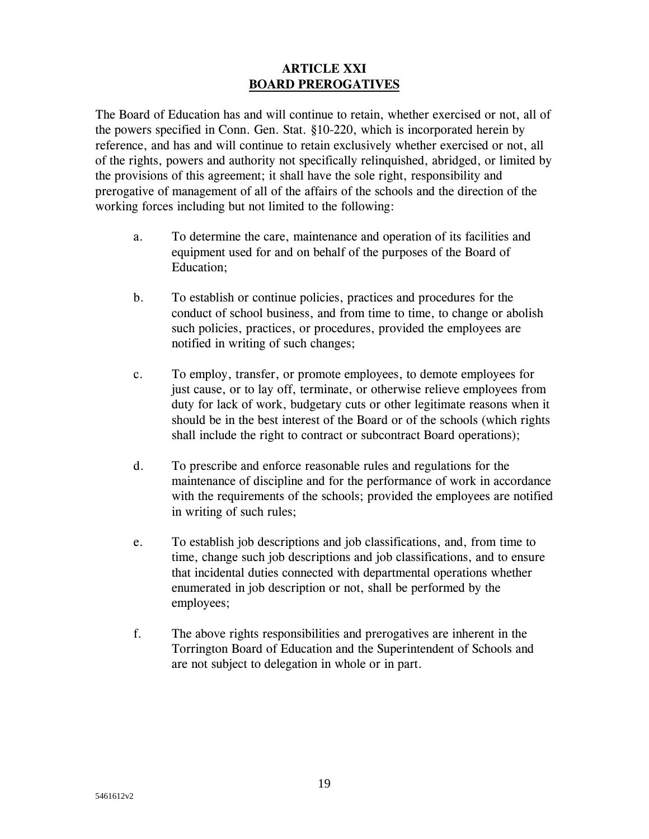### **ARTICLE XXI BOARD PREROGATIVES**

The Board of Education has and will continue to retain, whether exercised or not, all of the powers specified in Conn. Gen. Stat. §10-220, which is incorporated herein by reference, and has and will continue to retain exclusively whether exercised or not, all of the rights, powers and authority not specifically relinquished, abridged, or limited by the provisions of this agreement; it shall have the sole right, responsibility and prerogative of management of all of the affairs of the schools and the direction of the working forces including but not limited to the following:

- a. To determine the care, maintenance and operation of its facilities and equipment used for and on behalf of the purposes of the Board of Education;
- b. To establish or continue policies, practices and procedures for the conduct of school business, and from time to time, to change or abolish such policies, practices, or procedures, provided the employees are notified in writing of such changes;
- c. To employ, transfer, or promote employees, to demote employees for just cause, or to lay off, terminate, or otherwise relieve employees from duty for lack of work, budgetary cuts or other legitimate reasons when it should be in the best interest of the Board or of the schools (which rights shall include the right to contract or subcontract Board operations);
- d. To prescribe and enforce reasonable rules and regulations for the maintenance of discipline and for the performance of work in accordance with the requirements of the schools; provided the employees are notified in writing of such rules;
- e. To establish job descriptions and job classifications, and, from time to time, change such job descriptions and job classifications, and to ensure that incidental duties connected with departmental operations whether enumerated in job description or not, shall be performed by the employees;
- f. The above rights responsibilities and prerogatives are inherent in the Torrington Board of Education and the Superintendent of Schools and are not subject to delegation in whole or in part.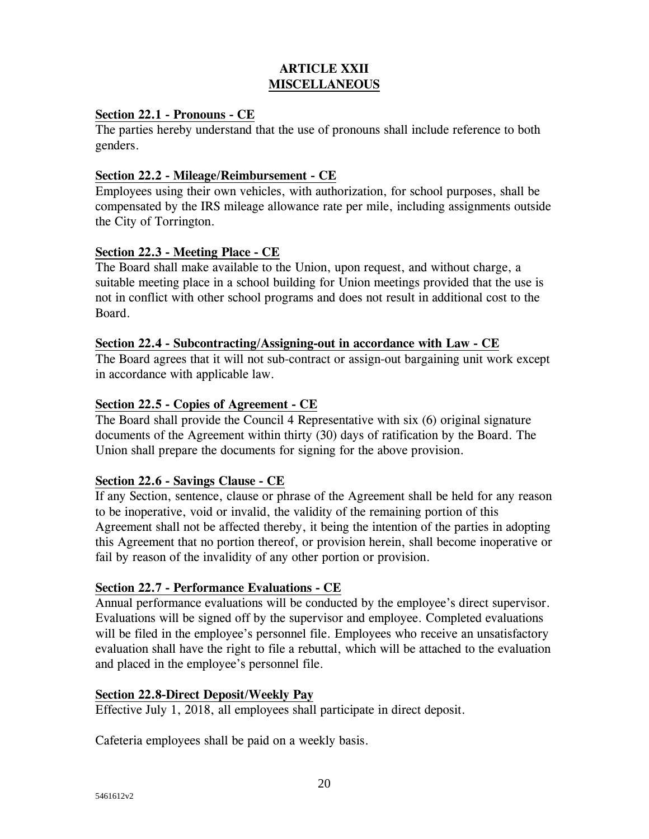## **ARTICLE XXII MISCELLANEOUS**

#### **Section 22.1 - Pronouns - CE**

The parties hereby understand that the use of pronouns shall include reference to both genders.

#### **Section 22.2 - Mileage/Reimbursement - CE**

Employees using their own vehicles, with authorization, for school purposes, shall be compensated by the IRS mileage allowance rate per mile, including assignments outside the City of Torrington.

#### **Section 22.3 - Meeting Place - CE**

The Board shall make available to the Union, upon request, and without charge, a suitable meeting place in a school building for Union meetings provided that the use is not in conflict with other school programs and does not result in additional cost to the Board.

#### **Section 22.4 - Subcontracting/Assigning-out in accordance with Law - CE**

The Board agrees that it will not sub-contract or assign-out bargaining unit work except in accordance with applicable law.

#### **Section 22.5 - Copies of Agreement - CE**

The Board shall provide the Council 4 Representative with six (6) original signature documents of the Agreement within thirty (30) days of ratification by the Board. The Union shall prepare the documents for signing for the above provision.

## **Section 22.6 - Savings Clause - CE**

If any Section, sentence, clause or phrase of the Agreement shall be held for any reason to be inoperative, void or invalid, the validity of the remaining portion of this Agreement shall not be affected thereby, it being the intention of the parties in adopting this Agreement that no portion thereof, or provision herein, shall become inoperative or fail by reason of the invalidity of any other portion or provision.

#### **Section 22.7 - Performance Evaluations - CE**

Annual performance evaluations will be conducted by the employee's direct supervisor. Evaluations will be signed off by the supervisor and employee. Completed evaluations will be filed in the employee's personnel file. Employees who receive an unsatisfactory evaluation shall have the right to file a rebuttal, which will be attached to the evaluation and placed in the employee's personnel file.

## **Section 22.8-Direct Deposit/Weekly Pay**

Effective July 1, 2018, all employees shall participate in direct deposit.

Cafeteria employees shall be paid on a weekly basis.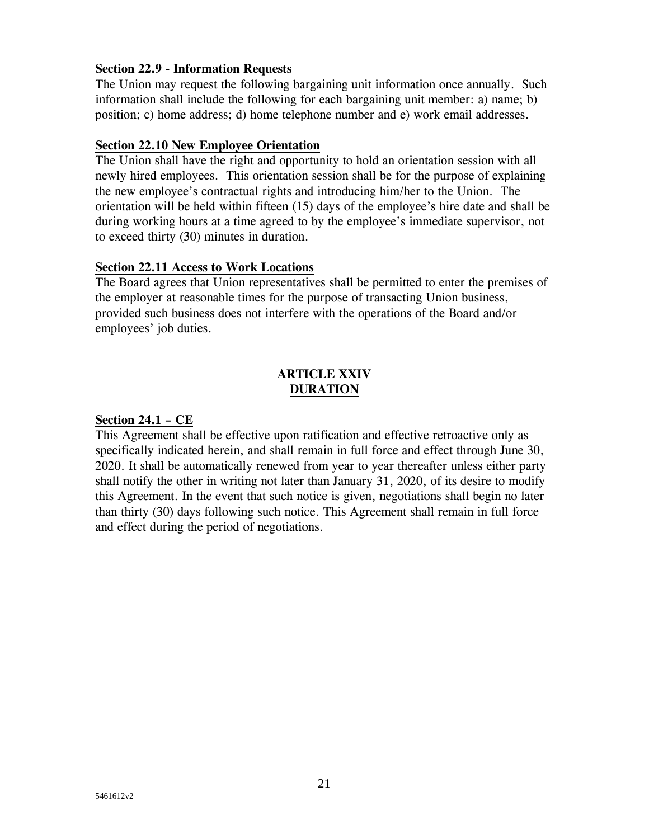### **Section 22.9 - Information Requests**

The Union may request the following bargaining unit information once annually. Such information shall include the following for each bargaining unit member: a) name; b) position; c) home address; d) home telephone number and e) work email addresses.

#### **Section 22.10 New Employee Orientation**

The Union shall have the right and opportunity to hold an orientation session with all newly hired employees. This orientation session shall be for the purpose of explaining the new employee's contractual rights and introducing him/her to the Union. The orientation will be held within fifteen (15) days of the employee's hire date and shall be during working hours at a time agreed to by the employee's immediate supervisor, not to exceed thirty (30) minutes in duration.

#### **Section 22.11 Access to Work Locations**

The Board agrees that Union representatives shall be permitted to enter the premises of the employer at reasonable times for the purpose of transacting Union business, provided such business does not interfere with the operations of the Board and/or employees' job duties.

## **ARTICLE XXIV DURATION**

#### **Section 24.1 – CE**

This Agreement shall be effective upon ratification and effective retroactive only as specifically indicated herein, and shall remain in full force and effect through June 30, 2020. It shall be automatically renewed from year to year thereafter unless either party shall notify the other in writing not later than January 31, 2020, of its desire to modify this Agreement. In the event that such notice is given, negotiations shall begin no later than thirty (30) days following such notice. This Agreement shall remain in full force and effect during the period of negotiations.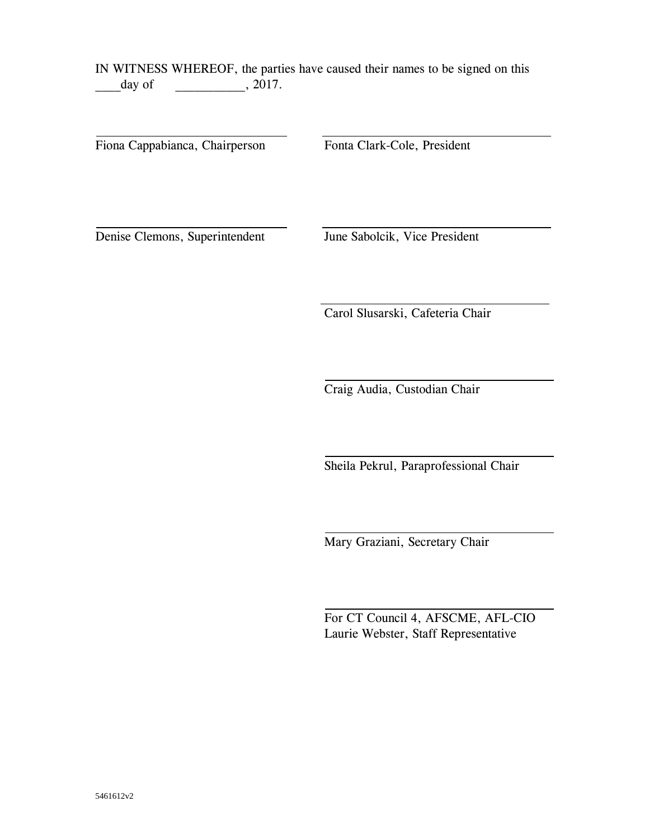IN WITNESS WHEREOF, the parties have caused their names to be signed on this day of  $\qquad \qquad .2017.$ 

Fiona Cappabianca, Chairperson Fonta Clark-Cole, President

Denise Clemons, Superintendent June Sabolcik, Vice President

Carol Slusarski, Cafeteria Chair

Craig Audia, Custodian Chair

Sheila Pekrul, Paraprofessional Chair

Mary Graziani, Secretary Chair

For CT Council 4, AFSCME, AFL-CIO Laurie Webster, Staff Representative